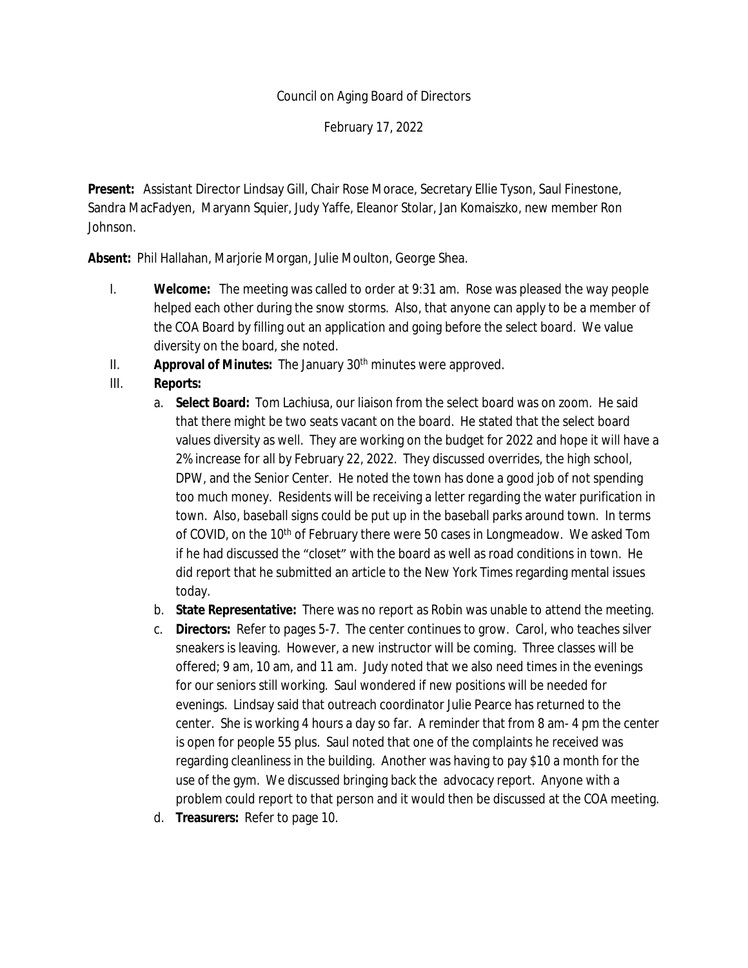## Council on Aging Board of Directors

February 17, 2022

**Present:** Assistant Director Lindsay Gill, Chair Rose Morace, Secretary Ellie Tyson, Saul Finestone, Sandra MacFadyen, Maryann Squier, Judy Yaffe, Eleanor Stolar, Jan Komaiszko, new member Ron Johnson.

**Absent:** Phil Hallahan, Marjorie Morgan, Julie Moulton, George Shea.

- I. **Welcome:** The meeting was called to order at 9:31 am. Rose was pleased the way people helped each other during the snow storms. Also, that anyone can apply to be a member of the COA Board by filling out an application and going before the select board. We value diversity on the board, she noted.
- II. **Approval of Minutes:** The January 30<sup>th</sup> minutes were approved.
- III. **Reports:**
	- a. **Select Board:** Tom Lachiusa, our liaison from the select board was on zoom. He said that there might be two seats vacant on the board. He stated that the select board values diversity as well. They are working on the budget for 2022 and hope it will have a 2% increase for all by February 22, 2022. They discussed overrides, the high school, DPW, and the Senior Center. He noted the town has done a good job of not spending too much money. Residents will be receiving a letter regarding the water purification in town. Also, baseball signs could be put up in the baseball parks around town. In terms of COVID, on the 10<sup>th</sup> of February there were 50 cases in Longmeadow. We asked Tom if he had discussed the "closet" with the board as well as road conditions in town. He did report that he submitted an article to the New York Times regarding mental issues today.
	- b. **State Representative:** There was no report as Robin was unable to attend the meeting.
	- c. **Directors:** Refer to pages 5-7. The center continues to grow. Carol, who teaches silver sneakers is leaving. However, a new instructor will be coming. Three classes will be offered; 9 am, 10 am, and 11 am. Judy noted that we also need times in the evenings for our seniors still working. Saul wondered if new positions will be needed for evenings. Lindsay said that outreach coordinator Julie Pearce has returned to the center. She is working 4 hours a day so far. A reminder that from 8 am- 4 pm the center is open for people 55 plus. Saul noted that one of the complaints he received was regarding cleanliness in the building. Another was having to pay \$10 a month for the use of the gym. We discussed bringing back the advocacy report. Anyone with a problem could report to that person and it would then be discussed at the COA meeting.
	- d. **Treasurers:** Refer to page 10.